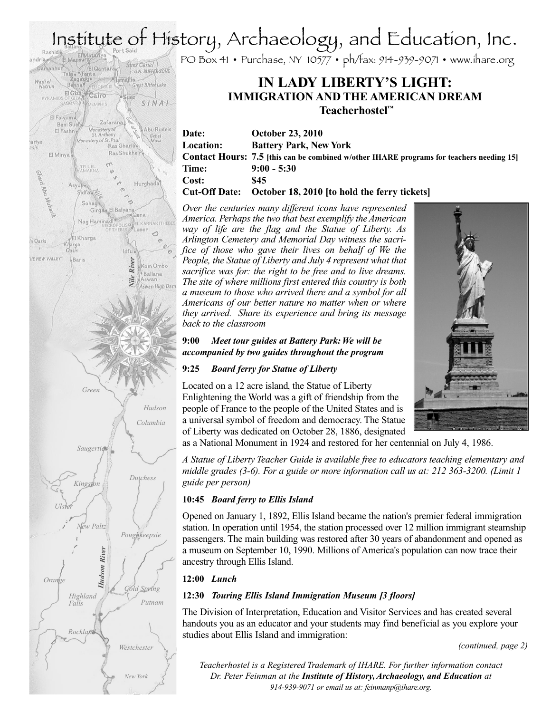# Institute of History, Archaeology, and Education, Inc.<br>
Rashid<br>
Talk: The Talk: The Burstand Talk: The Burstand Talk: The Burstand Talk: Talk: Talk: Talk: Talk: Talk: Talk: Talk: Talk: Talk: Talk: Talk: Talk: Talk: Talk: T

PO Box 41 • Purchase, NY 10577 • ph/fax: 914-939-9071 • www.ihare.org

# **IN LADY LIBERTY'S LIGHT: IMMIGRATION AND THE AMERICAN DREAM Teacherhostel ™**

**Date: October 23, 2010 Location: Battery Park, New York Contact Hours: 7.5 [this can be combined w/other IHARE programs for teachers needing 15] Time: 9:00 - 5:30 Cost: \$45 Cut-Off Date: October 18, 2010 [to hold the ferry tickets]**

*Over the centuries many different icons have represented America. Perhaps the two that best exemplify theAmerican way of life are the flag and the Statue of Liberty. As Arlington Cemetery and Memorial Day witness the sacrifice of those who gave their lives on behalf of We the People, the Statue of Liberty and July 4 represent what that sacrifice was for: the right to be free and to live dreams. The site of where millions first entered this country is both a museum to those who arrived there and a symbol for all Americans of our better nature no matter when or where they arrived. Share its experience and bring its message back to the classroom*

#### **9:00** *Meet tour guides at Battery Park:We will be accompanied by two guides throughout the program*

# **9:25** *Board ferry for Statue of Liberty*

Located on a 12 acre island, the Statue of Liberty Enlightening the World was a gift of friendship from the people of France to the people of the United States and is a universal symbol of freedom and democracy. The Statue of Liberty was dedicated on October 28, 1886, designated

as a National Monument in 1924 and restored for her centennial on July 4, 1986.

*A Statue of Liberty Teacher Guide is available free to educators teaching elementary and middle grades (3-6). For a guide or more information call us at: 212 363-3200. (Limit 1 guide per person)*

# **10:45** *Board ferry to Ellis Island*

Opened on January 1, 1892, Ellis Island became the nation's premier federal immigration station. In operation until 1954, the station processed over 12 million immigrant steamship passengers. The main building was restored after 30 years of abandonment and opened as a museum on September 10, 1990. Millions of America's population can now trace their ancestry through Ellis Island.

# **12:00** *Lunch*

# **12:30** *Touring Ellis Island Immigration Museum [3 floors]*

The Division of Interpretation, Education and Visitor Services and has created several handouts you as an educator and your students may find beneficial as you explore your studies about Ellis Island and immigration:

*(continued, page 2)*

*Teacherhostel is a Registered Trademark of IHARE. For further information contact Dr. Peter Feinman at the Institute of History,Archaeology, and Education at 914-939-9071 or email us at: feinmanp@ihare.org.*



*Nile River*

Vile

River

Idfu.

Suez Canal

Alsmattia

Ras Gharibe

Ras Shukheir

ঌ

**Qena** 

El Giza Cairo

MEMPHIS

Monastery of<br>St. Anthony

St. Anthony<br>Monastery of St. Paul

TELL EL

idfa<sup>17</sup>

El Kharga

Sobada

**Zafarana** 

Girgae El Balyana

OF THEBE

Nag Hammadi

ADOAR

Beni Sueh

Asy

Kharga  $O<sub>a</sub>$ sis

 $Baris$ 

El Fashn o

El Faivum

El Minya

- U.N. BUFFER ZONE

Great Bitter Lake

SINAI

Abu Rudeis

Gebel<br>Musa

Hurghada

**DLIS OVEL KARNAK (THEBE)** 

 $\triangleleft$ 

Kom Ombo<br>|• Ballana

Aswan Aswan High Dam

Damanhui

PYRAMID

Wadiel<br>Natrun

asis

Ghard P

la Dasis

HE NEW VALLEY

Abu

*New York*